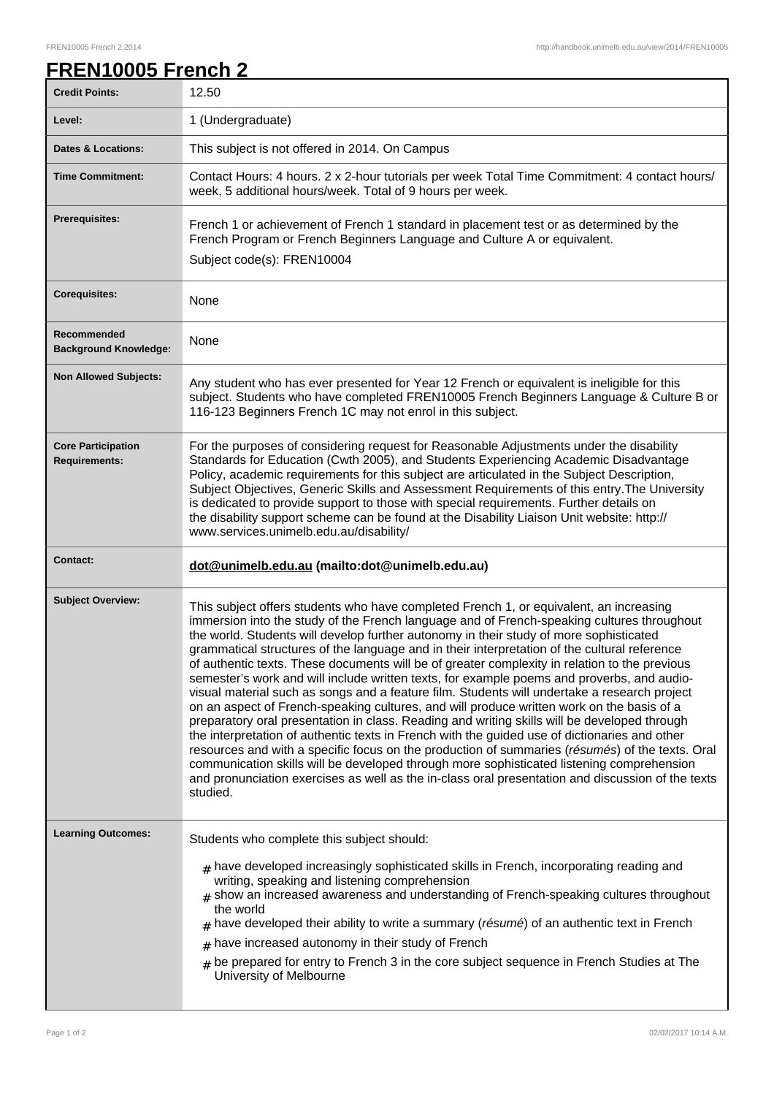## **FREN10005 French 2**

| <b>Credit Points:</b>                             | 12.50                                                                                                                                                                                                                                                                                                                                                                                                                                                                                                                                                                                                                                                                                                                                                                                                                                                                                                                                                                                                                                                                                                                                                                                                                                                                                        |
|---------------------------------------------------|----------------------------------------------------------------------------------------------------------------------------------------------------------------------------------------------------------------------------------------------------------------------------------------------------------------------------------------------------------------------------------------------------------------------------------------------------------------------------------------------------------------------------------------------------------------------------------------------------------------------------------------------------------------------------------------------------------------------------------------------------------------------------------------------------------------------------------------------------------------------------------------------------------------------------------------------------------------------------------------------------------------------------------------------------------------------------------------------------------------------------------------------------------------------------------------------------------------------------------------------------------------------------------------------|
| Level:                                            | 1 (Undergraduate)                                                                                                                                                                                                                                                                                                                                                                                                                                                                                                                                                                                                                                                                                                                                                                                                                                                                                                                                                                                                                                                                                                                                                                                                                                                                            |
| <b>Dates &amp; Locations:</b>                     | This subject is not offered in 2014. On Campus                                                                                                                                                                                                                                                                                                                                                                                                                                                                                                                                                                                                                                                                                                                                                                                                                                                                                                                                                                                                                                                                                                                                                                                                                                               |
| <b>Time Commitment:</b>                           | Contact Hours: 4 hours. 2 x 2-hour tutorials per week Total Time Commitment: 4 contact hours/<br>week, 5 additional hours/week. Total of 9 hours per week.                                                                                                                                                                                                                                                                                                                                                                                                                                                                                                                                                                                                                                                                                                                                                                                                                                                                                                                                                                                                                                                                                                                                   |
| Prerequisites:                                    | French 1 or achievement of French 1 standard in placement test or as determined by the<br>French Program or French Beginners Language and Culture A or equivalent.<br>Subject code(s): FREN10004                                                                                                                                                                                                                                                                                                                                                                                                                                                                                                                                                                                                                                                                                                                                                                                                                                                                                                                                                                                                                                                                                             |
| <b>Corequisites:</b>                              | None                                                                                                                                                                                                                                                                                                                                                                                                                                                                                                                                                                                                                                                                                                                                                                                                                                                                                                                                                                                                                                                                                                                                                                                                                                                                                         |
| Recommended<br><b>Background Knowledge:</b>       | None                                                                                                                                                                                                                                                                                                                                                                                                                                                                                                                                                                                                                                                                                                                                                                                                                                                                                                                                                                                                                                                                                                                                                                                                                                                                                         |
| <b>Non Allowed Subjects:</b>                      | Any student who has ever presented for Year 12 French or equivalent is ineligible for this<br>subject. Students who have completed FREN10005 French Beginners Language & Culture B or<br>116-123 Beginners French 1C may not enrol in this subject.                                                                                                                                                                                                                                                                                                                                                                                                                                                                                                                                                                                                                                                                                                                                                                                                                                                                                                                                                                                                                                          |
| <b>Core Participation</b><br><b>Requirements:</b> | For the purposes of considering request for Reasonable Adjustments under the disability<br>Standards for Education (Cwth 2005), and Students Experiencing Academic Disadvantage<br>Policy, academic requirements for this subject are articulated in the Subject Description,<br>Subject Objectives, Generic Skills and Assessment Requirements of this entry. The University<br>is dedicated to provide support to those with special requirements. Further details on<br>the disability support scheme can be found at the Disability Liaison Unit website: http://<br>www.services.unimelb.edu.au/disability/                                                                                                                                                                                                                                                                                                                                                                                                                                                                                                                                                                                                                                                                             |
|                                                   |                                                                                                                                                                                                                                                                                                                                                                                                                                                                                                                                                                                                                                                                                                                                                                                                                                                                                                                                                                                                                                                                                                                                                                                                                                                                                              |
| <b>Contact:</b>                                   | dot@unimelb.edu.au (mailto:dot@unimelb.edu.au)                                                                                                                                                                                                                                                                                                                                                                                                                                                                                                                                                                                                                                                                                                                                                                                                                                                                                                                                                                                                                                                                                                                                                                                                                                               |
| <b>Subject Overview:</b>                          | This subject offers students who have completed French 1, or equivalent, an increasing<br>immersion into the study of the French language and of French-speaking cultures throughout<br>the world. Students will develop further autonomy in their study of more sophisticated<br>grammatical structures of the language and in their interpretation of the cultural reference<br>of authentic texts. These documents will be of greater complexity in relation to the previous<br>semester's work and will include written texts, for example poems and proverbs, and audio-<br>visual material such as songs and a feature film. Students will undertake a research project<br>on an aspect of French-speaking cultures, and will produce written work on the basis of a<br>preparatory oral presentation in class. Reading and writing skills will be developed through<br>the interpretation of authentic texts in French with the guided use of dictionaries and other<br>resources and with a specific focus on the production of summaries (résumés) of the texts. Oral<br>communication skills will be developed through more sophisticated listening comprehension<br>and pronunciation exercises as well as the in-class oral presentation and discussion of the texts<br>studied. |